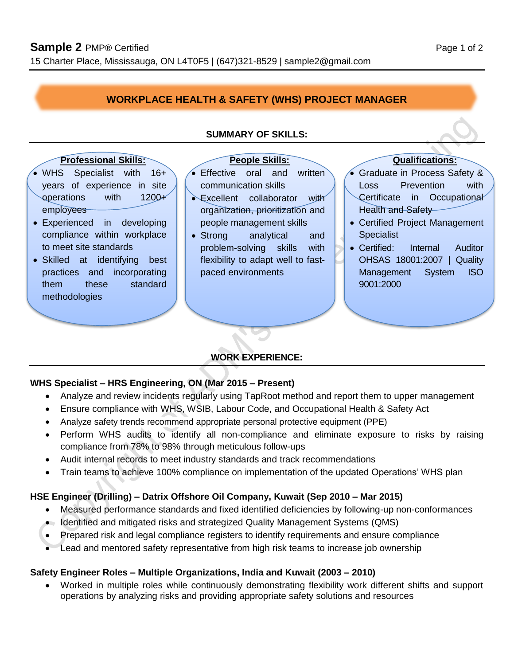# **WORKPLACE HEALTH & SAFETY (WHS) PROJECT MANAGER**

#### **Professional Skills:** People Skills: **Qualifications:**

- WHS Specialist with 16+ years of experience in site operations with 1200+ employees
- Experienced in developing compliance within workplace to meet site standards
- Skilled at identifying best practices and incorporating them these standard methodologies

#### **SUMMARY OF SKILLS:**

• Effective oral and written communication skills

- Excellent collaborator with organization, prioritization and people management skills
- Strong analytical and problem-solving skills with flexibility to adapt well to fastpaced environments

 Graduate in Process Safety & Loss Prevention with Certificate in Occupational Health and Safety

- Certified Project Management **Specialist**
- Certified: Internal Auditor OHSAS 18001:2007 | Quality Management System ISO 9001:2000

## **WORK EXPERIENCE:**

#### **WHS Specialist – HRS Engineering, ON (Mar 2015 – Present)**

- Analyze and review incidents regularly using TapRoot method and report them to upper management
- Ensure compliance with WHS, WSIB, Labour Code, and Occupational Health & Safety Act
- Analyze safety trends recommend appropriate personal protective equipment (PPE)
- Perform WHS audits to identify all non-compliance and eliminate exposure to risks by raising compliance from 78% to 98% through meticulous follow-ups
- Audit internal records to meet industry standards and track recommendations
- Train teams to achieve 100% compliance on implementation of the updated Operations' WHS plan

## **HSE Engineer (Drilling) – Datrix Offshore Oil Company, Kuwait (Sep 2010 – Mar 2015)**

- Measured performance standards and fixed identified deficiencies by following-up non-conformances
- Identified and mitigated risks and strategized Quality Management Systems (QMS)
- Prepared risk and legal compliance registers to identify requirements and ensure compliance
- Lead and mentored safety representative from high risk teams to increase job ownership

#### **Safety Engineer Roles – Multiple Organizations, India and Kuwait (2003 – 2010)**

 Worked in multiple roles while continuously demonstrating flexibility work different shifts and support operations by analyzing risks and providing appropriate safety solutions and resources